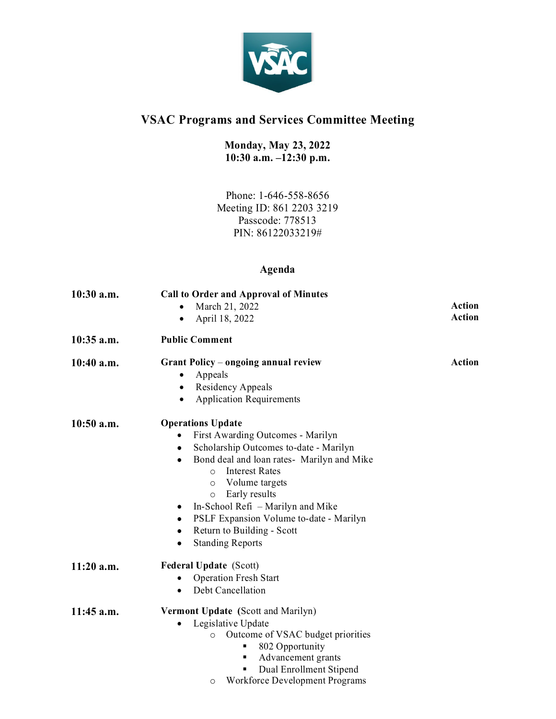

## **VSAC Programs and Services Committee Meeting**

## **Monday, May 23, 2022 10:30 a.m. –12:30 p.m.**

Phone: 1-646-558-8656 Meeting ID: 861 2203 3219 Passcode: 778513 PIN: 86122033219#

## **Agenda**

| $10:30$ a.m. | <b>Call to Order and Approval of Minutes</b>                       |               |
|--------------|--------------------------------------------------------------------|---------------|
|              | March 21, 2022                                                     | <b>Action</b> |
|              | April 18, 2022<br>$\bullet$                                        | <b>Action</b> |
| $10:35$ a.m. | <b>Public Comment</b>                                              |               |
| 10:40 a.m.   | Grant Policy – ongoing annual review<br>Appeals                    | <b>Action</b> |
|              | Residency Appeals<br>٠                                             |               |
|              | <b>Application Requirements</b><br>$\bullet$                       |               |
| $10:50$ a.m. | <b>Operations Update</b>                                           |               |
|              | First Awarding Outcomes - Marilyn                                  |               |
|              | Scholarship Outcomes to-date - Marilyn<br>$\bullet$                |               |
|              | Bond deal and loan rates- Marilyn and Mike<br>$\bullet$            |               |
|              | <b>Interest Rates</b><br>$\Omega$                                  |               |
|              | Volume targets<br>$\circ$                                          |               |
|              | Early results<br>$\circ$<br>In-School Refi – Marilyn and Mike<br>٠ |               |
|              | PSLF Expansion Volume to-date - Marilyn                            |               |
|              | Return to Building - Scott                                         |               |
|              | <b>Standing Reports</b>                                            |               |
| $11:20$ a.m. | <b>Federal Update (Scott)</b>                                      |               |
|              | <b>Operation Fresh Start</b>                                       |               |
|              | Debt Cancellation<br>$\bullet$                                     |               |
| $11:45$ a.m. | Vermont Update (Scott and Marilyn)                                 |               |
|              | Legislative Update<br>$\bullet$                                    |               |
|              | Outcome of VSAC budget priorities<br>$\circ$                       |               |
|              | 802 Opportunity<br>Advancement grants<br>п                         |               |
|              | Dual Enrollment Stipend                                            |               |
|              | Workforce Development Programs<br>O                                |               |
|              |                                                                    |               |